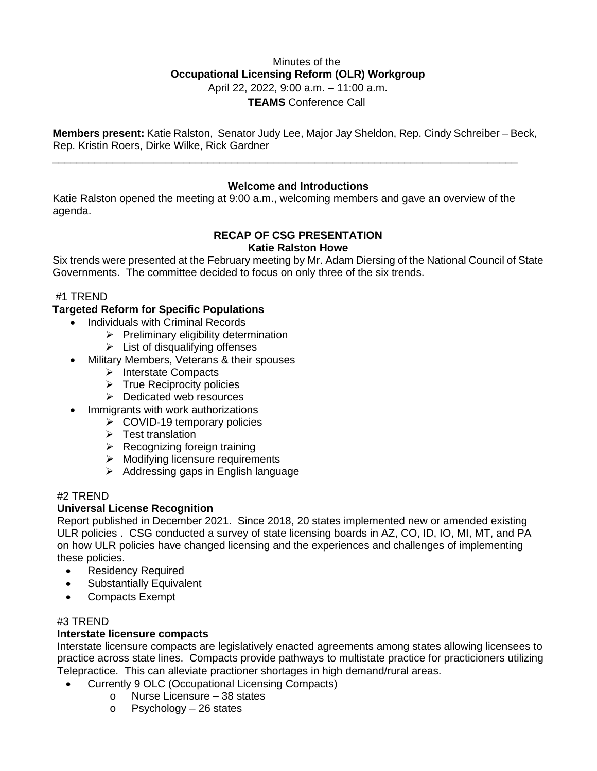## Minutes of the **Occupational Licensing Reform (OLR) Workgroup** April 22, 2022, 9:00 a.m. – 11:00 a.m. **TEAMS** Conference Call

**Members present:** Katie Ralston, Senator Judy Lee, Major Jay Sheldon, Rep. Cindy Schreiber – Beck, Rep. Kristin Roers, Dirke Wilke, Rick Gardner

### **Welcome and Introductions**

Katie Ralston opened the meeting at 9:00 a.m., welcoming members and gave an overview of the agenda.

\_\_\_\_\_\_\_\_\_\_\_\_\_\_\_\_\_\_\_\_\_\_\_\_\_\_\_\_\_\_\_\_\_\_\_\_\_\_\_\_\_\_\_\_\_\_\_\_\_\_\_\_\_\_\_\_\_\_\_\_\_\_\_\_\_\_\_\_\_\_\_\_\_\_\_\_\_\_

#### **RECAP OF CSG PRESENTATION Katie Ralston Howe**

Six trends were presented at the February meeting by Mr. Adam Diersing of the National Council of State Governments. The committee decided to focus on only three of the six trends.

### #1 TREND

### **Targeted Reform for Specific Populations**

- Individuals with Criminal Records
	- $\triangleright$  Preliminary eligibility determination
	- $\triangleright$  List of disqualifying offenses
- Military Members, Veterans & their spouses
	- $\triangleright$  Interstate Compacts
	- $\triangleright$  True Reciprocity policies
	- $\triangleright$  Dedicated web resources
- Immigrants with work authorizations
	- $\triangleright$  COVID-19 temporary policies
	- $\triangleright$  Test translation
	- $\triangleright$  Recognizing foreign training
	- $\triangleright$  Modifying licensure requirements
	- $\triangleright$  Addressing gaps in English language

#### #2 TREND

#### **Universal License Recognition**

Report published in December 2021. Since 2018, 20 states implemented new or amended existing ULR policies . CSG conducted a survey of state licensing boards in AZ, CO, ID, IO, MI, MT, and PA on how ULR policies have changed licensing and the experiences and challenges of implementing these policies.

- Residency Required
- Substantially Equivalent
- Compacts Exempt

### #3 TREND

#### **Interstate licensure compacts**

Interstate licensure compacts are legislatively enacted agreements among states allowing licensees to practice across state lines. Compacts provide pathways to multistate practice for practicioners utilizing Telepractice. This can alleviate practioner shortages in high demand/rural areas.

- Currently 9 OLC (Occupational Licensing Compacts)
	- o Nurse Licensure 38 states<br>
	o Psychology 26 states
	- $Psychology 26 states$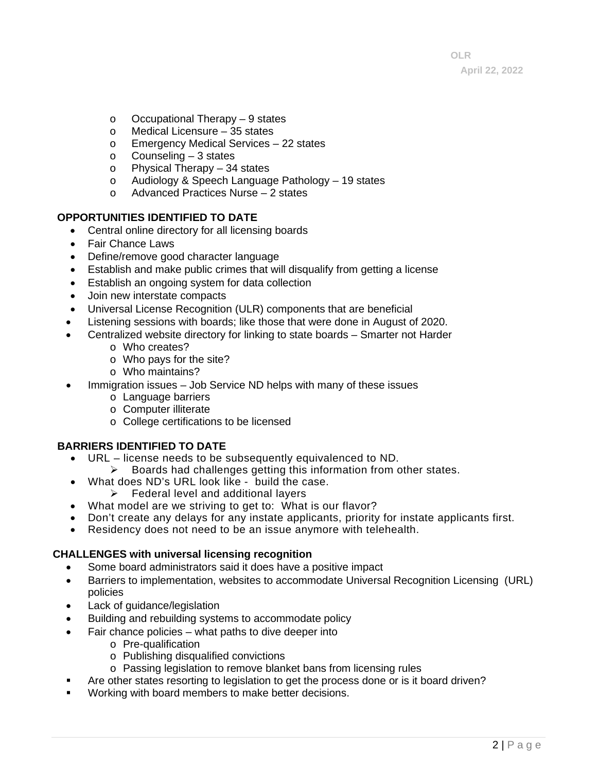- o Occupational Therapy 9 states
- o Medical Licensure 35 states
- o Emergency Medical Services 22 states
- o Counseling 3 states
- o Physical Therapy 34 states<br>o Audiology & Speech Languago
- o Audiology & Speech Language Pathology 19 states<br>
o Advanced Practices Nurse 2 states
- Advanced Practices Nurse 2 states

### **OPPORTUNITIES IDENTIFIED TO DATE**

- Central online directory for all licensing boards
- Fair Chance Laws
- Define/remove good character language
- Establish and make public crimes that will disqualify from getting a license
- Establish an ongoing system for data collection
- Join new interstate compacts
- Universal License Recognition (ULR) components that are beneficial
- Listening sessions with boards; like those that were done in August of 2020.
- Centralized website directory for linking to state boards Smarter not Harder
	- o Who creates?
	- o Who pays for the site?
	- o Who maintains?
- Immigration issues Job Service ND helps with many of these issues
	- o Language barriers
	- o Computer illiterate
	- o College certifications to be licensed

### **BARRIERS IDENTIFIED TO DATE**

- URL license needs to be subsequently equivalenced to ND.
	- $\triangleright$  Boards had challenges getting this information from other states.
- What does ND's URL look like build the case.
	- $\triangleright$  Federal level and additional layers
- What model are we striving to get to: What is our flavor?
- Don't create any delays for any instate applicants, priority for instate applicants first.
- Residency does not need to be an issue anymore with telehealth.

### **CHALLENGES with universal licensing recognition**

- Some board administrators said it does have a positive impact
- Barriers to implementation, websites to accommodate Universal Recognition Licensing (URL) policies
- Lack of guidance/legislation
- Building and rebuilding systems to accommodate policy
- Fair chance policies what paths to dive deeper into
	- o Pre-qualification
	- o Publishing disqualified convictions
	- o Passing legislation to remove blanket bans from licensing rules
- Are other states resorting to legislation to get the process done or is it board driven?
- Working with board members to make better decisions.